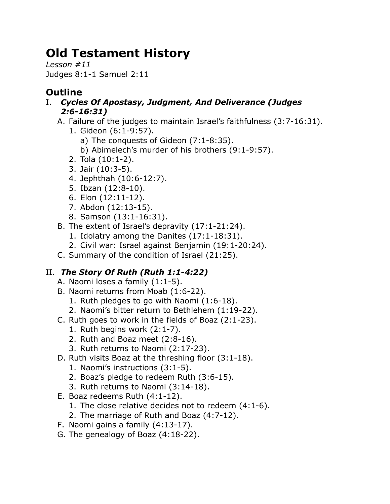# **Old Testament History**

*Lesson #11* Judges 8:1-1 Samuel 2:11

# **Outline**

- I. *Cycles Of Apostasy, Judgment, And Deliverance (Judges 2:6-16:31)*
	- A. Failure of the judges to maintain Israel's faithfulness (3:7-16:31).
		- 1. Gideon (6:1-9:57).
			- a) The conquests of Gideon (7:1-8:35).
			- b) Abimelech's murder of his brothers (9:1-9:57).
		- 2. Tola (10:1-2).
		- 3. Jair (10:3-5).
		- 4. Jephthah (10:6-12:7).
		- 5. Ibzan (12:8-10).
		- 6. Elon (12:11-12).
		- 7. Abdon (12:13-15).
		- 8. Samson (13:1-16:31).
	- B. The extent of Israel's depravity (17:1-21:24).
		- 1. Idolatry among the Danites (17:1-18:31).
		- 2. Civil war: Israel against Benjamin (19:1-20:24).
	- C. Summary of the condition of Israel (21:25).

## II. *The Story Of Ruth (Ruth 1:1-4:22)*

- A. Naomi loses a family (1:1-5).
- B. Naomi returns from Moab (1:6-22).
	- 1. Ruth pledges to go with Naomi (1:6-18).
	- 2. Naomi's bitter return to Bethlehem (1:19-22).
- C. Ruth goes to work in the fields of Boaz (2:1-23).
	- 1. Ruth begins work (2:1-7).
	- 2. Ruth and Boaz meet (2:8-16).
	- 3. Ruth returns to Naomi (2:17-23).
- D. Ruth visits Boaz at the threshing floor (3:1-18).
	- 1. Naomi's instructions (3:1-5).
	- 2. Boaz's pledge to redeem Ruth (3:6-15).
	- 3. Ruth returns to Naomi (3:14-18).
- E. Boaz redeems Ruth (4:1-12).
	- 1. The close relative decides not to redeem (4:1-6).
	- 2. The marriage of Ruth and Boaz (4:7-12).
- F. Naomi gains a family (4:13-17).
- G. The genealogy of Boaz (4:18-22).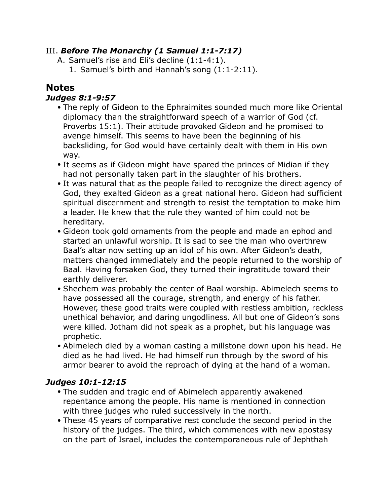#### III. *Before The Monarchy (1 Samuel 1:1-7:17)*

- A. Samuel's rise and Eli's decline (1:1-4:1).
	- 1. Samuel's birth and Hannah's song (1:1-2:11).

### **Notes**

#### *Judges 8:1-9:57*

- The reply of Gideon to the Ephraimites sounded much more like Oriental diplomacy than the straightforward speech of a warrior of God (cf. Proverbs 15:1). Their attitude provoked Gideon and he promised to avenge himself. This seems to have been the beginning of his backsliding, for God would have certainly dealt with them in His own way.
- It seems as if Gideon might have spared the princes of Midian if they had not personally taken part in the slaughter of his brothers.
- It was natural that as the people failed to recognize the direct agency of God, they exalted Gideon as a great national hero. Gideon had sufficient spiritual discernment and strength to resist the temptation to make him a leader. He knew that the rule they wanted of him could not be hereditary.
- Gideon took gold ornaments from the people and made an ephod and started an unlawful worship. It is sad to see the man who overthrew Baal's altar now setting up an idol of his own. After Gideon's death, matters changed immediately and the people returned to the worship of Baal. Having forsaken God, they turned their ingratitude toward their earthly deliverer.
- Shechem was probably the center of Baal worship. Abimelech seems to have possessed all the courage, strength, and energy of his father. However, these good traits were coupled with restless ambition, reckless unethical behavior, and daring ungodliness. All but one of Gideon's sons were killed. Jotham did not speak as a prophet, but his language was prophetic.
- Abimelech died by a woman casting a millstone down upon his head. He died as he had lived. He had himself run through by the sword of his armor bearer to avoid the reproach of dying at the hand of a woman.

#### *Judges 10:1-12:15*

- The sudden and tragic end of Abimelech apparently awakened repentance among the people. His name is mentioned in connection with three judges who ruled successively in the north.
- These 45 years of comparative rest conclude the second period in the history of the judges. The third, which commences with new apostasy on the part of Israel, includes the contemporaneous rule of Jephthah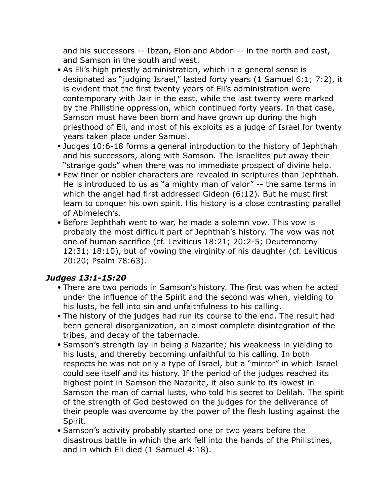and his successors -- Ibzan, Elon and Abdon -- in the north and east, and Samson in the south and west.

- As Eli's high priestly administration, which in a general sense is designated as "judging Israel," lasted forty years (1 Samuel 6:1; 7:2), it is evident that the first twenty years of Eli's administration were contemporary with Jair in the east, while the last twenty were marked by the Philistine oppression, which continued forty years. In that case, Samson must have been born and have grown up during the high priesthood of Eli, and most of his exploits as a judge of Israel for twenty years taken place under Samuel.
- Judges 10:6-18 forms a general introduction to the history of Jephthah and his successors, along with Samson. The Israelites put away their "strange gods" when there was no immediate prospect of divine help.
- Few finer or nobler characters are revealed in scriptures than Jephthah. He is introduced to us as "a mighty man of valor" -- the same terms in which the angel had first addressed Gideon (6:12). But he must first learn to conquer his own spirit. His history is a close contrasting parallel of Abimelech's.
- Before Jephthah went to war, he made a solemn vow. This vow is probably the most difficult part of Jephthah's history. The vow was not one of human sacrifice (cf. Leviticus 18:21; 20:2-5; Deuteronomy 12:31; 18:10), but of vowing the virginity of his daughter (cf. Leviticus 20:20; Psalm 78:63).

#### *Judges 13:1-15:20*

- There are two periods in Samson's history. The first was when he acted under the influence of the Spirit and the second was when, yielding to his lusts, he fell into sin and unfaithfulness to his calling.
- The history of the judges had run its course to the end. The result had been general disorganization, an almost complete disintegration of the tribes, and decay of the tabernacle.
- Samson's strength lay in being a Nazarite; his weakness in yielding to his lusts, and thereby becoming unfaithful to his calling. In both respects he was not only a type of Israel, but a "mirror" in which Israel could see itself and its history. If the period of the judges reached its highest point in Samson the Nazarite, it also sunk to its lowest in Samson the man of carnal lusts, who told his secret to Delilah. The spirit of the strength of God bestowed on the judges for the deliverance of their people was overcome by the power of the flesh lusting against the Spirit.
- Samson's activity probably started one or two years before the disastrous battle in which the ark fell into the hands of the Philistines, and in which Eli died (1 Samuel 4:18).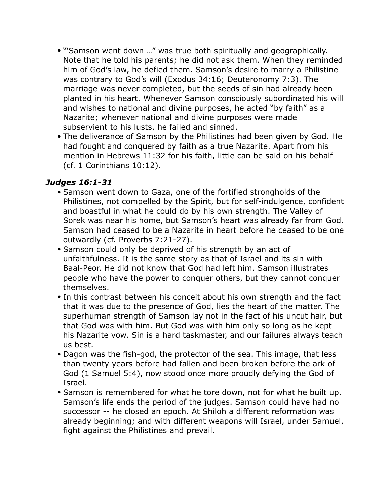- "'Samson went down …" was true both spiritually and geographically. Note that he told his parents; he did not ask them. When they reminded him of God's law, he defied them. Samson's desire to marry a Philistine was contrary to God's will (Exodus 34:16; Deuteronomy 7:3). The marriage was never completed, but the seeds of sin had already been planted in his heart. Whenever Samson consciously subordinated his will and wishes to national and divine purposes, he acted "by faith" as a Nazarite; whenever national and divine purposes were made subservient to his lusts, he failed and sinned.
- The deliverance of Samson by the Philistines had been given by God. He had fought and conquered by faith as a true Nazarite. Apart from his mention in Hebrews 11:32 for his faith, little can be said on his behalf (cf. 1 Corinthians 10:12).

#### *Judges 16:1-31*

- Samson went down to Gaza, one of the fortified strongholds of the Philistines, not compelled by the Spirit, but for self-indulgence, confident and boastful in what he could do by his own strength. The Valley of Sorek was near his home, but Samson's heart was already far from God. Samson had ceased to be a Nazarite in heart before he ceased to be one outwardly (cf. Proverbs 7:21-27).
- Samson could only be deprived of his strength by an act of unfaithfulness. It is the same story as that of Israel and its sin with Baal-Peor. He did not know that God had left him. Samson illustrates people who have the power to conquer others, but they cannot conquer themselves.
- In this contrast between his conceit about his own strength and the fact that it was due to the presence of God, lies the heart of the matter. The superhuman strength of Samson lay not in the fact of his uncut hair, but that God was with him. But God was with him only so long as he kept his Nazarite vow. Sin is a hard taskmaster, and our failures always teach us best.
- Dagon was the fish-god, the protector of the sea. This image, that less than twenty years before had fallen and been broken before the ark of God (1 Samuel 5:4), now stood once more proudly defying the God of Israel.
- Samson is remembered for what he tore down, not for what he built up. Samson's life ends the period of the judges. Samson could have had no successor -- he closed an epoch. At Shiloh a different reformation was already beginning; and with different weapons will Israel, under Samuel, fight against the Philistines and prevail.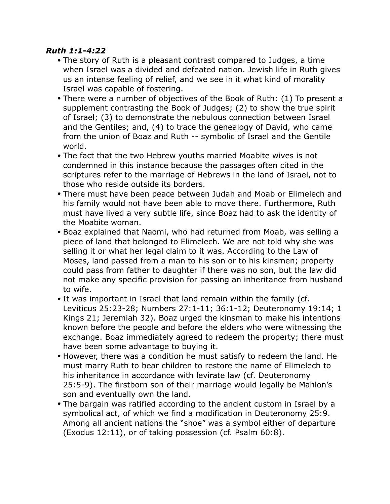#### *Ruth 1:1-4:22*

- The story of Ruth is a pleasant contrast compared to Judges, a time when Israel was a divided and defeated nation. Jewish life in Ruth gives us an intense feeling of relief, and we see in it what kind of morality Israel was capable of fostering.
- There were a number of objectives of the Book of Ruth: (1) To present a supplement contrasting the Book of Judges; (2) to show the true spirit of Israel; (3) to demonstrate the nebulous connection between Israel and the Gentiles; and, (4) to trace the genealogy of David, who came from the union of Boaz and Ruth -- symbolic of Israel and the Gentile world.
- The fact that the two Hebrew youths married Moabite wives is not condemned in this instance because the passages often cited in the scriptures refer to the marriage of Hebrews in the land of Israel, not to those who reside outside its borders.
- There must have been peace between Judah and Moab or Elimelech and his family would not have been able to move there. Furthermore, Ruth must have lived a very subtle life, since Boaz had to ask the identity of the Moabite woman.
- Boaz explained that Naomi, who had returned from Moab, was selling a piece of land that belonged to Elimelech. We are not told why she was selling it or what her legal claim to it was. According to the Law of Moses, land passed from a man to his son or to his kinsmen; property could pass from father to daughter if there was no son, but the law did not make any specific provision for passing an inheritance from husband to wife.
- It was important in Israel that land remain within the family (cf. Leviticus 25:23-28; Numbers 27:1-11; 36:1-12; Deuteronomy 19:14; 1 Kings 21; Jeremiah 32). Boaz urged the kinsman to make his intentions known before the people and before the elders who were witnessing the exchange. Boaz immediately agreed to redeem the property; there must have been some advantage to buying it.
- However, there was a condition he must satisfy to redeem the land. He must marry Ruth to bear children to restore the name of Elimelech to his inheritance in accordance with levirate law (cf. Deuteronomy 25:5-9). The firstborn son of their marriage would legally be Mahlon's son and eventually own the land.
- The bargain was ratified according to the ancient custom in Israel by a symbolical act, of which we find a modification in Deuteronomy 25:9. Among all ancient nations the "shoe" was a symbol either of departure (Exodus 12:11), or of taking possession (cf. Psalm 60:8).